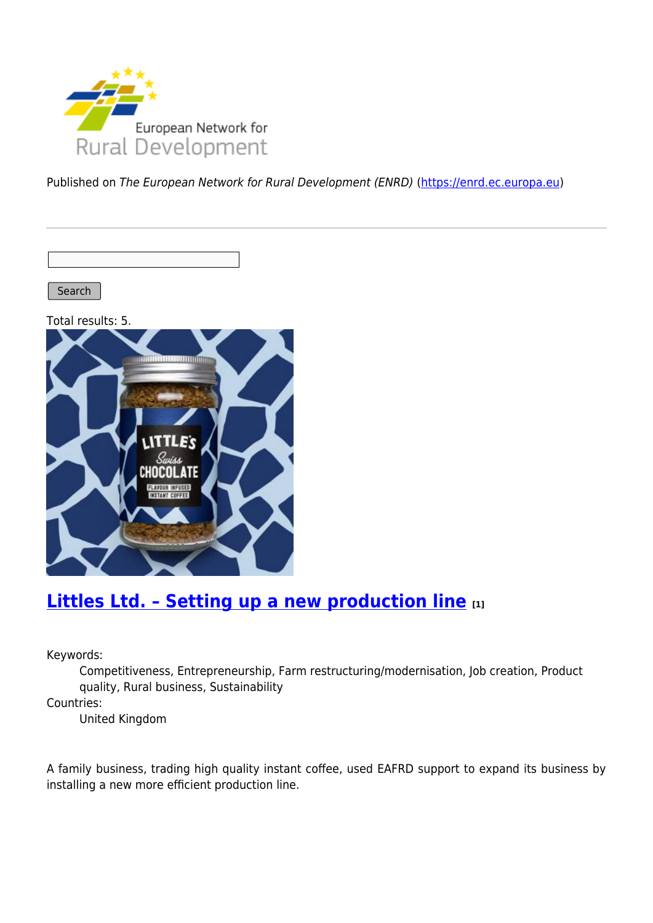

Published on The European Network for Rural Development (ENRD) [\(https://enrd.ec.europa.eu](https://enrd.ec.europa.eu))

Search |

Total results: 5.



## **[Littles Ltd. – Setting up a new production line](https://enrd.ec.europa.eu/projects-practice/littles-ltd-setting-new-production-line_en) [1]**

Keywords:

Competitiveness, Entrepreneurship, Farm restructuring/modernisation, Job creation, Product quality, Rural business, Sustainability

Countries:

United Kingdom

A family business, trading high quality instant coffee, used EAFRD support to expand its business by installing a new more efficient production line.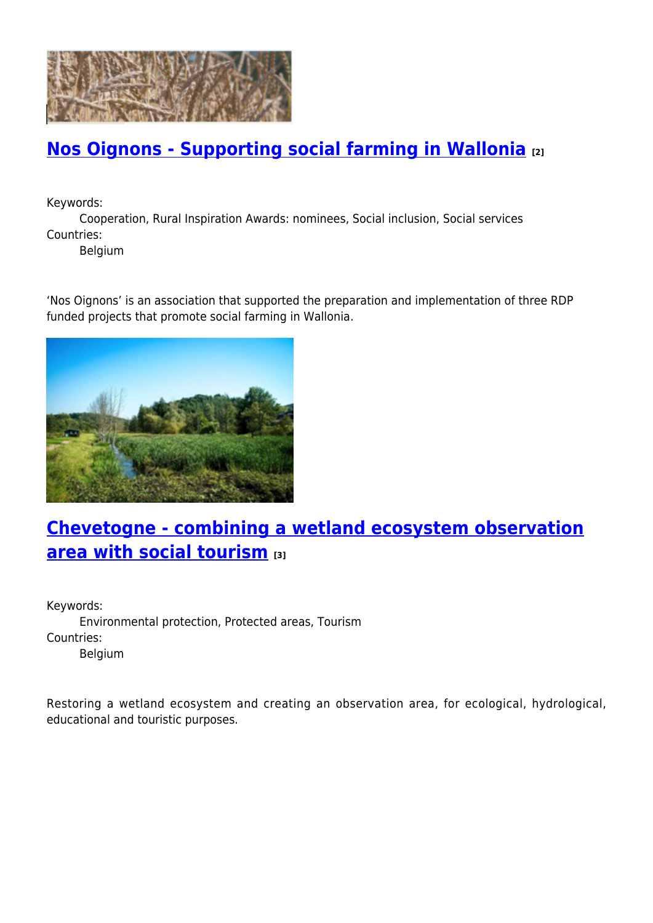

### **[Nos Oignons - Supporting social farming in Wallonia](https://enrd.ec.europa.eu/projects-practice/nos-oignons-supporting-social-farming-wallonia_en) [2]**

Keywords:

Cooperation, Rural Inspiration Awards: nominees, Social inclusion, Social services Countries:

Belgium

'Nos Oignons' is an association that supported the preparation and implementation of three RDP funded projects that promote social farming in Wallonia.



# **[Chevetogne - combining a wetland ecosystem observation](https://enrd.ec.europa.eu/projects-practice/chevetogne-combining-wetland-ecosystem-observation-area-social-tourism_en) [area with social tourism](https://enrd.ec.europa.eu/projects-practice/chevetogne-combining-wetland-ecosystem-observation-area-social-tourism_en) [3]**

Keywords: Environmental protection, Protected areas, Tourism Countries: Belgium

Restoring a wetland ecosystem and creating an observation area, for ecological, hydrological, educational and touristic purposes.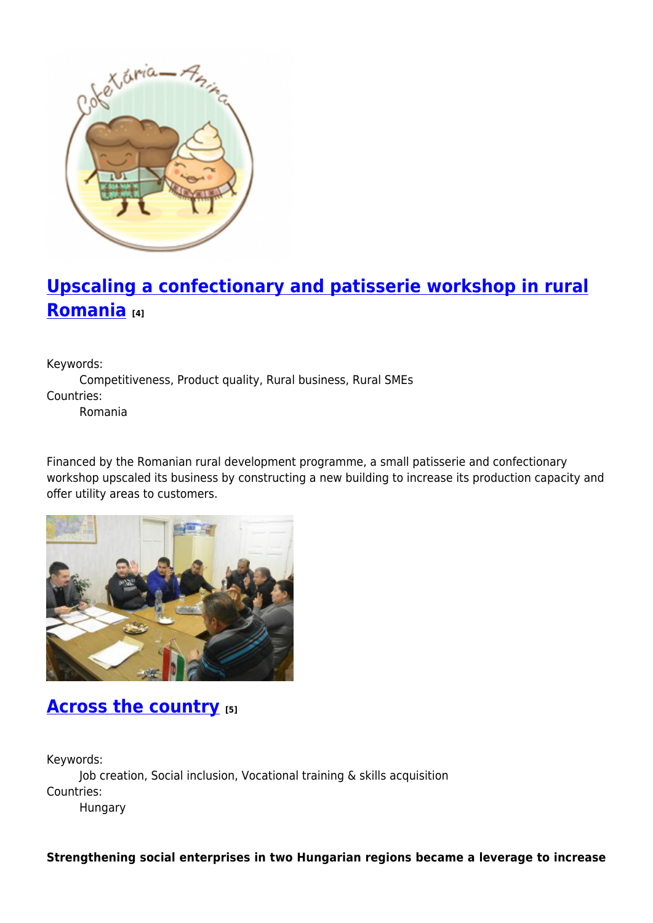

# **[Upscaling a confectionary and patisserie workshop in rural](https://enrd.ec.europa.eu/projects-practice/upscaling-confectionary-and-patisserie-workshop-rural-romania_en) [Romania](https://enrd.ec.europa.eu/projects-practice/upscaling-confectionary-and-patisserie-workshop-rural-romania_en) [4]**

Keywords:

Competitiveness, Product quality, Rural business, Rural SMEs Countries:

Romania

Financed by the Romanian rural development programme, a small patisserie and confectionary workshop upscaled its business by constructing a new building to increase its production capacity and offer utility areas to customers.



### **[Across the country](https://enrd.ec.europa.eu/projects-practice/across-country_en) [5]**

Keywords: Job creation, Social inclusion, Vocational training & skills acquisition Countries: Hungary

**Strengthening social enterprises in two Hungarian regions became a leverage to increase**